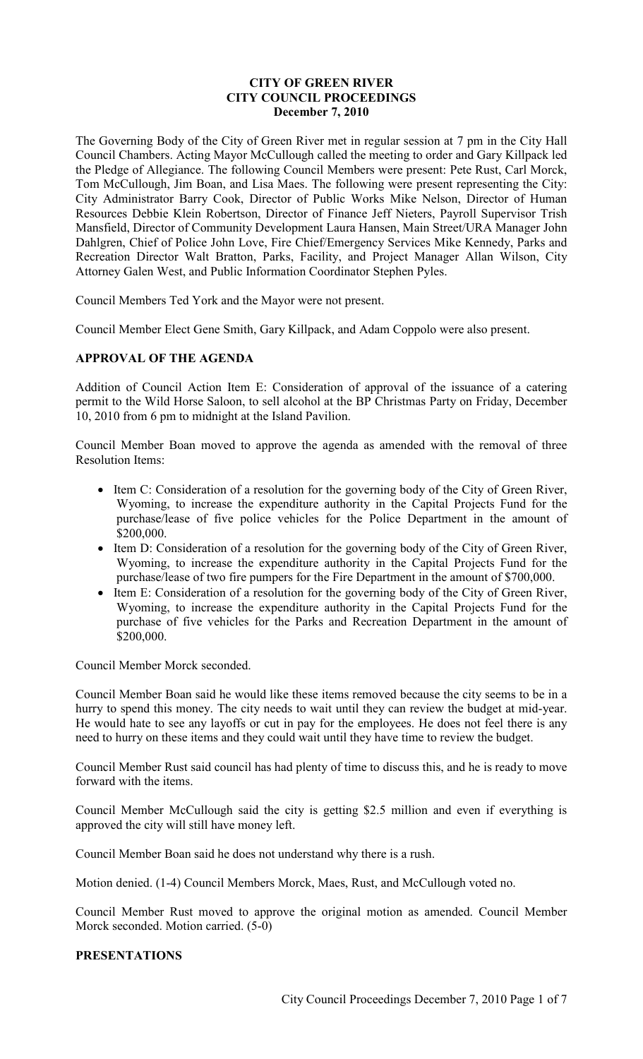# **CITY OF GREEN RIVER CITY COUNCIL PROCEEDINGS December 7, 2010**

The Governing Body of the City of Green River met in regular session at 7 pm in the City Hall Council Chambers. Acting Mayor McCullough called the meeting to order and Gary Killpack led the Pledge of Allegiance. The following Council Members were present: Pete Rust, Carl Morck, Tom McCullough, Jim Boan, and Lisa Maes. The following were present representing the City: City Administrator Barry Cook, Director of Public Works Mike Nelson, Director of Human Resources Debbie Klein Robertson, Director of Finance Jeff Nieters, Payroll Supervisor Trish Mansfield, Director of Community Development Laura Hansen, Main Street/URA Manager John Dahlgren, Chief of Police John Love, Fire Chief/Emergency Services Mike Kennedy, Parks and Recreation Director Walt Bratton, Parks, Facility, and Project Manager Allan Wilson, City Attorney Galen West, and Public Information Coordinator Stephen Pyles.

Council Members Ted York and the Mayor were not present.

Council Member Elect Gene Smith, Gary Killpack, and Adam Coppolo were also present.

# **APPROVAL OF THE AGENDA**

Addition of Council Action Item E: Consideration of approval of the issuance of a catering permit to the Wild Horse Saloon, to sell alcohol at the BP Christmas Party on Friday, December 10, 2010 from 6 pm to midnight at the Island Pavilion.

Council Member Boan moved to approve the agenda as amended with the removal of three Resolution Items:

- Item C: Consideration of a resolution for the governing body of the City of Green River, Wyoming, to increase the expenditure authority in the Capital Projects Fund for the purchase/lease of five police vehicles for the Police Department in the amount of \$200,000.
- Item D: Consideration of a resolution for the governing body of the City of Green River, Wyoming, to increase the expenditure authority in the Capital Projects Fund for the purchase/lease of two fire pumpers for the Fire Department in the amount of \$700,000.
- Item E: Consideration of a resolution for the governing body of the City of Green River, Wyoming, to increase the expenditure authority in the Capital Projects Fund for the purchase of five vehicles for the Parks and Recreation Department in the amount of \$200,000.

Council Member Morck seconded.

Council Member Boan said he would like these items removed because the city seems to be in a hurry to spend this money. The city needs to wait until they can review the budget at mid-year. He would hate to see any layoffs or cut in pay for the employees. He does not feel there is any need to hurry on these items and they could wait until they have time to review the budget.

Council Member Rust said council has had plenty of time to discuss this, and he is ready to move forward with the items.

Council Member McCullough said the city is getting \$2.5 million and even if everything is approved the city will still have money left.

Council Member Boan said he does not understand why there is a rush.

Motion denied. (1-4) Council Members Morck, Maes, Rust, and McCullough voted no.

Council Member Rust moved to approve the original motion as amended. Council Member Morck seconded. Motion carried. (5-0)

### **PRESENTATIONS**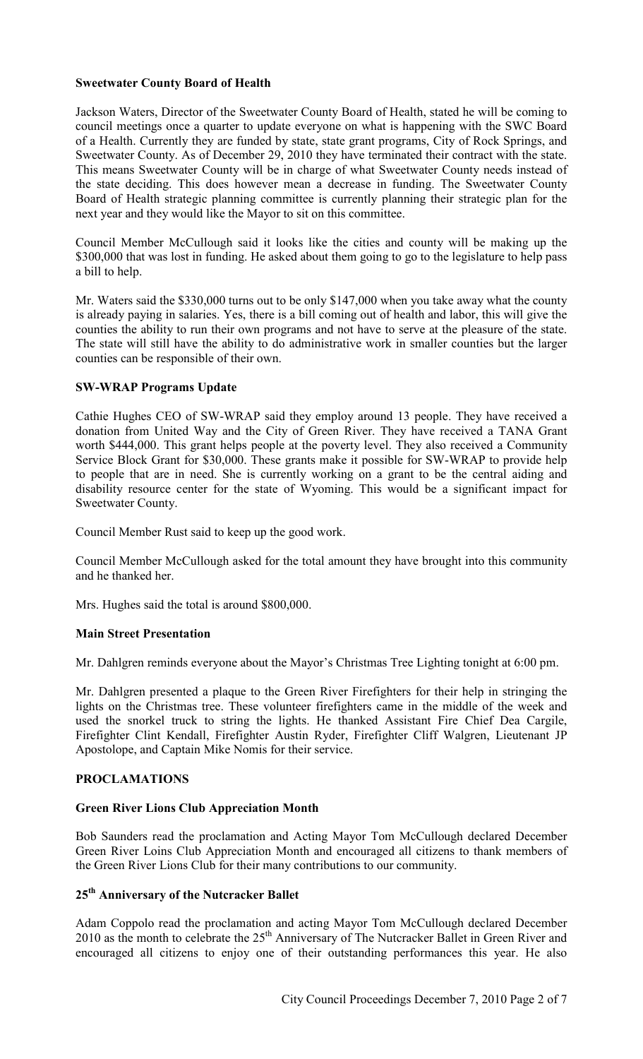### **Sweetwater County Board of Health**

Jackson Waters, Director of the Sweetwater County Board of Health, stated he will be coming to council meetings once a quarter to update everyone on what is happening with the SWC Board of a Health. Currently they are funded by state, state grant programs, City of Rock Springs, and Sweetwater County. As of December 29, 2010 they have terminated their contract with the state. This means Sweetwater County will be in charge of what Sweetwater County needs instead of the state deciding. This does however mean a decrease in funding. The Sweetwater County Board of Health strategic planning committee is currently planning their strategic plan for the next year and they would like the Mayor to sit on this committee.

Council Member McCullough said it looks like the cities and county will be making up the \$300,000 that was lost in funding. He asked about them going to go to the legislature to help pass a bill to help.

Mr. Waters said the \$330,000 turns out to be only \$147,000 when you take away what the county is already paying in salaries. Yes, there is a bill coming out of health and labor, this will give the counties the ability to run their own programs and not have to serve at the pleasure of the state. The state will still have the ability to do administrative work in smaller counties but the larger counties can be responsible of their own.

### **SW-WRAP Programs Update**

Cathie Hughes CEO of SW-WRAP said they employ around 13 people. They have received a donation from United Way and the City of Green River. They have received a TANA Grant worth \$444,000. This grant helps people at the poverty level. They also received a Community Service Block Grant for \$30,000. These grants make it possible for SW-WRAP to provide help to people that are in need. She is currently working on a grant to be the central aiding and disability resource center for the state of Wyoming. This would be a significant impact for Sweetwater County.

Council Member Rust said to keep up the good work.

Council Member McCullough asked for the total amount they have brought into this community and he thanked her.

Mrs. Hughes said the total is around \$800,000.

### **Main Street Presentation**

Mr. Dahlgren reminds everyone about the Mayor's Christmas Tree Lighting tonight at 6:00 pm.

Mr. Dahlgren presented a plaque to the Green River Firefighters for their help in stringing the lights on the Christmas tree. These volunteer firefighters came in the middle of the week and used the snorkel truck to string the lights. He thanked Assistant Fire Chief Dea Cargile, Firefighter Clint Kendall, Firefighter Austin Ryder, Firefighter Cliff Walgren, Lieutenant JP Apostolope, and Captain Mike Nomis for their service.

### **PROCLAMATIONS**

### **Green River Lions Club Appreciation Month**

Bob Saunders read the proclamation and Acting Mayor Tom McCullough declared December Green River Loins Club Appreciation Month and encouraged all citizens to thank members of the Green River Lions Club for their many contributions to our community.

# **25th Anniversary of the Nutcracker Ballet**

Adam Coppolo read the proclamation and acting Mayor Tom McCullough declared December 2010 as the month to celebrate the 25<sup>th</sup> Anniversary of The Nutcracker Ballet in Green River and encouraged all citizens to enjoy one of their outstanding performances this year. He also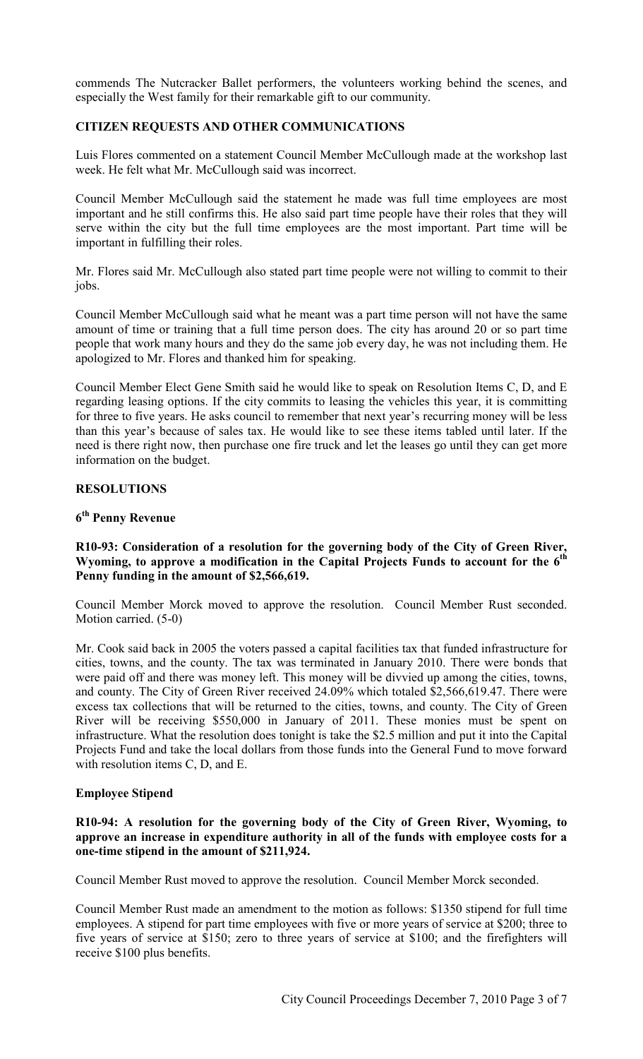commends The Nutcracker Ballet performers, the volunteers working behind the scenes, and especially the West family for their remarkable gift to our community.

# **CITIZEN REQUESTS AND OTHER COMMUNICATIONS**

Luis Flores commented on a statement Council Member McCullough made at the workshop last week. He felt what Mr. McCullough said was incorrect.

Council Member McCullough said the statement he made was full time employees are most important and he still confirms this. He also said part time people have their roles that they will serve within the city but the full time employees are the most important. Part time will be important in fulfilling their roles.

Mr. Flores said Mr. McCullough also stated part time people were not willing to commit to their jobs.

Council Member McCullough said what he meant was a part time person will not have the same amount of time or training that a full time person does. The city has around 20 or so part time people that work many hours and they do the same job every day, he was not including them. He apologized to Mr. Flores and thanked him for speaking.

Council Member Elect Gene Smith said he would like to speak on Resolution Items C, D, and E regarding leasing options. If the city commits to leasing the vehicles this year, it is committing for three to five years. He asks council to remember that next year's recurring money will be less than this year's because of sales tax. He would like to see these items tabled until later. If the need is there right now, then purchase one fire truck and let the leases go until they can get more information on the budget.

### **RESOLUTIONS**

# **6 th Penny Revenue**

# **R10-93: Consideration of a resolution for the governing body of the City of Green River, Wyoming, to approve a modification in the Capital Projects Funds to account for the 6th Penny funding in the amount of \$2,566,619.**

Council Member Morck moved to approve the resolution. Council Member Rust seconded. Motion carried. (5-0)

Mr. Cook said back in 2005 the voters passed a capital facilities tax that funded infrastructure for cities, towns, and the county. The tax was terminated in January 2010. There were bonds that were paid off and there was money left. This money will be divvied up among the cities, towns, and county. The City of Green River received 24.09% which totaled \$2,566,619.47. There were excess tax collections that will be returned to the cities, towns, and county. The City of Green River will be receiving \$550,000 in January of 2011. These monies must be spent on infrastructure. What the resolution does tonight is take the \$2.5 million and put it into the Capital Projects Fund and take the local dollars from those funds into the General Fund to move forward with resolution items C, D, and E.

### **Employee Stipend**

### **R10-94: A resolution for the governing body of the City of Green River, Wyoming, to approve an increase in expenditure authority in all of the funds with employee costs for a one-time stipend in the amount of \$211,924.**

Council Member Rust moved to approve the resolution. Council Member Morck seconded.

Council Member Rust made an amendment to the motion as follows: \$1350 stipend for full time employees. A stipend for part time employees with five or more years of service at \$200; three to five years of service at \$150; zero to three years of service at \$100; and the firefighters will receive \$100 plus benefits.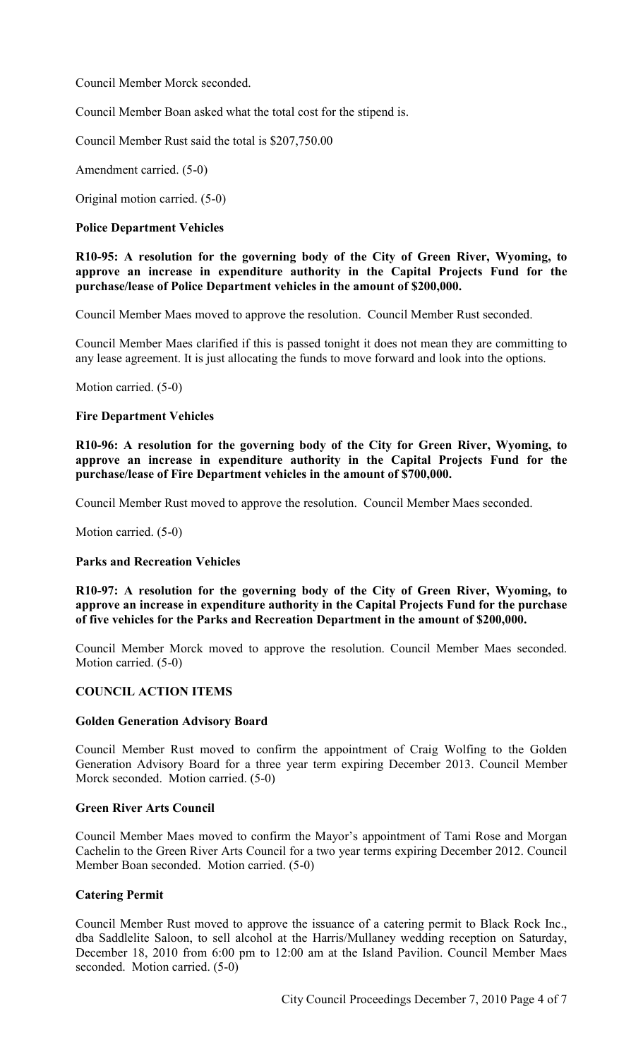Council Member Morck seconded.

Council Member Boan asked what the total cost for the stipend is.

Council Member Rust said the total is \$207,750.00

Amendment carried. (5-0)

Original motion carried. (5-0)

### **Police Department Vehicles**

### **R10-95: A resolution for the governing body of the City of Green River, Wyoming, to approve an increase in expenditure authority in the Capital Projects Fund for the purchase/lease of Police Department vehicles in the amount of \$200,000.**

Council Member Maes moved to approve the resolution. Council Member Rust seconded.

Council Member Maes clarified if this is passed tonight it does not mean they are committing to any lease agreement. It is just allocating the funds to move forward and look into the options.

Motion carried. (5-0)

#### **Fire Department Vehicles**

**R10-96: A resolution for the governing body of the City for Green River, Wyoming, to approve an increase in expenditure authority in the Capital Projects Fund for the purchase/lease of Fire Department vehicles in the amount of \$700,000.** 

Council Member Rust moved to approve the resolution. Council Member Maes seconded.

Motion carried. (5-0)

### **Parks and Recreation Vehicles**

**R10-97: A resolution for the governing body of the City of Green River, Wyoming, to approve an increase in expenditure authority in the Capital Projects Fund for the purchase of five vehicles for the Parks and Recreation Department in the amount of \$200,000.** 

Council Member Morck moved to approve the resolution. Council Member Maes seconded. Motion carried. (5-0)

### **COUNCIL ACTION ITEMS**

#### **Golden Generation Advisory Board**

Council Member Rust moved to confirm the appointment of Craig Wolfing to the Golden Generation Advisory Board for a three year term expiring December 2013. Council Member Morck seconded. Motion carried. (5-0)

#### **Green River Arts Council**

Council Member Maes moved to confirm the Mayor's appointment of Tami Rose and Morgan Cachelin to the Green River Arts Council for a two year terms expiring December 2012. Council Member Boan seconded. Motion carried. (5-0)

### **Catering Permit**

Council Member Rust moved to approve the issuance of a catering permit to Black Rock Inc., dba Saddlelite Saloon, to sell alcohol at the Harris/Mullaney wedding reception on Saturday, December 18, 2010 from 6:00 pm to 12:00 am at the Island Pavilion. Council Member Maes seconded. Motion carried. (5-0)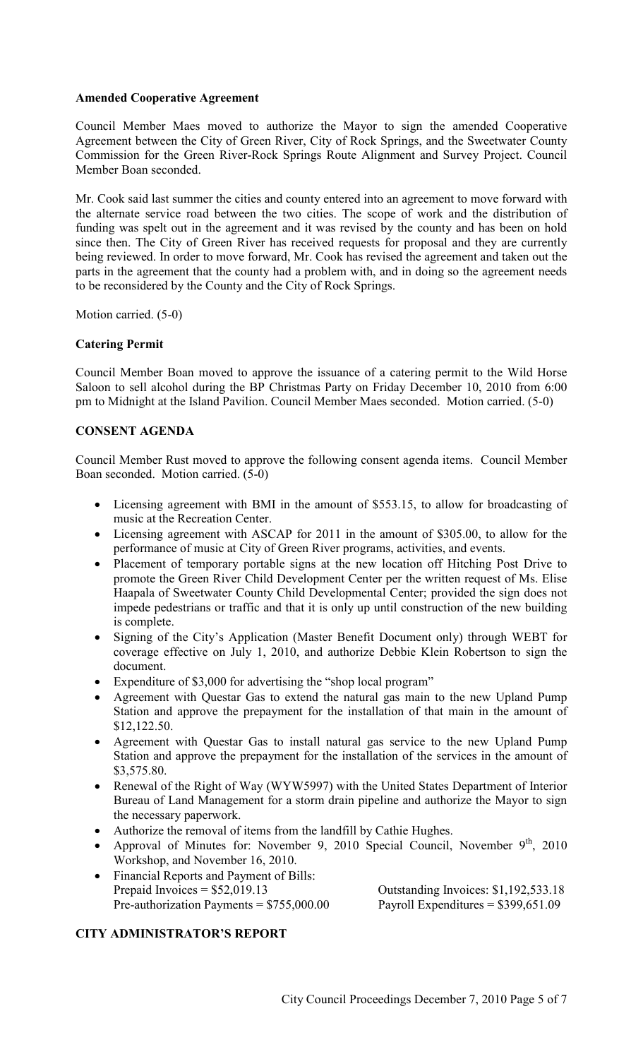# **Amended Cooperative Agreement**

Council Member Maes moved to authorize the Mayor to sign the amended Cooperative Agreement between the City of Green River, City of Rock Springs, and the Sweetwater County Commission for the Green River-Rock Springs Route Alignment and Survey Project. Council Member Boan seconded.

Mr. Cook said last summer the cities and county entered into an agreement to move forward with the alternate service road between the two cities. The scope of work and the distribution of funding was spelt out in the agreement and it was revised by the county and has been on hold since then. The City of Green River has received requests for proposal and they are currently being reviewed. In order to move forward, Mr. Cook has revised the agreement and taken out the parts in the agreement that the county had a problem with, and in doing so the agreement needs to be reconsidered by the County and the City of Rock Springs.

Motion carried. (5-0)

# **Catering Permit**

Council Member Boan moved to approve the issuance of a catering permit to the Wild Horse Saloon to sell alcohol during the BP Christmas Party on Friday December 10, 2010 from 6:00 pm to Midnight at the Island Pavilion. Council Member Maes seconded. Motion carried. (5-0)

# **CONSENT AGENDA**

Council Member Rust moved to approve the following consent agenda items. Council Member Boan seconded. Motion carried. (5-0)

- Licensing agreement with BMI in the amount of \$553.15, to allow for broadcasting of music at the Recreation Center.
- Licensing agreement with ASCAP for 2011 in the amount of \$305.00, to allow for the performance of music at City of Green River programs, activities, and events.
- Placement of temporary portable signs at the new location off Hitching Post Drive to promote the Green River Child Development Center per the written request of Ms. Elise Haapala of Sweetwater County Child Developmental Center; provided the sign does not impede pedestrians or traffic and that it is only up until construction of the new building is complete.
- Signing of the City's Application (Master Benefit Document only) through WEBT for coverage effective on July 1, 2010, and authorize Debbie Klein Robertson to sign the document.
- Expenditure of \$3,000 for advertising the "shop local program"
- Agreement with Questar Gas to extend the natural gas main to the new Upland Pump Station and approve the prepayment for the installation of that main in the amount of \$12,122.50.
- Agreement with Questar Gas to install natural gas service to the new Upland Pump Station and approve the prepayment for the installation of the services in the amount of \$3,575.80.
- Renewal of the Right of Way (WYW5997) with the United States Department of Interior Bureau of Land Management for a storm drain pipeline and authorize the Mayor to sign the necessary paperwork.
- Authorize the removal of items from the landfill by Cathie Hughes.
- Approval of Minutes for: November 9, 2010 Special Council, November  $9<sup>th</sup>$ , 2010 Workshop, and November 16, 2010.
- Financial Reports and Payment of Bills: Prepaid Invoices  $= $52,019.13$  Outstanding Invoices: \$1,192,533.18 Pre-authorization Payments =  $$755,000.00$  Payroll Expenditures =  $$399,651.09$

# **CITY ADMINISTRATOR'S REPORT**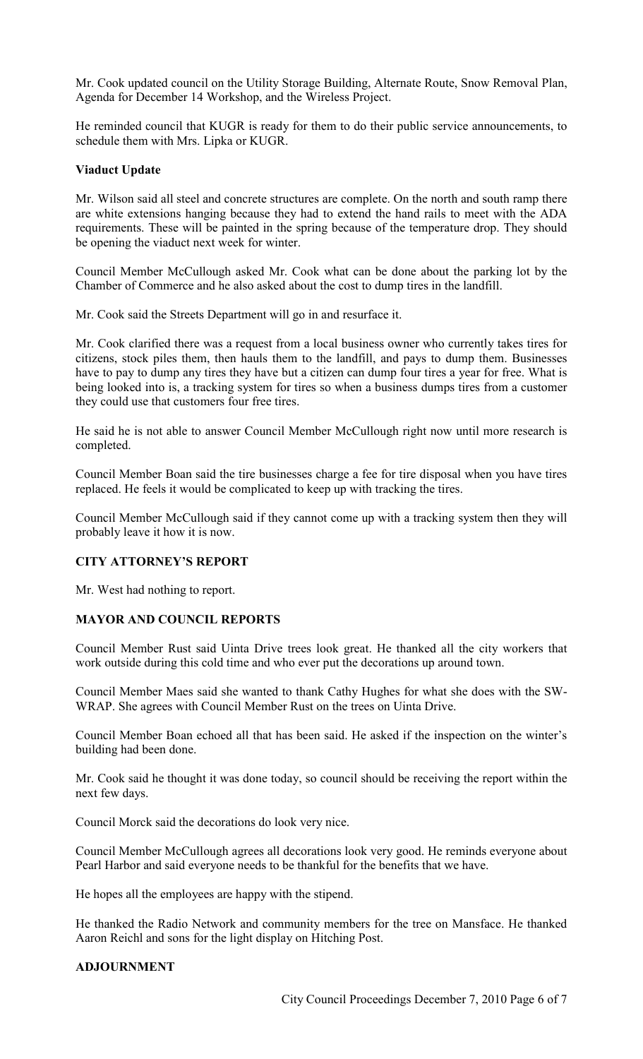Mr. Cook updated council on the Utility Storage Building, Alternate Route, Snow Removal Plan, Agenda for December 14 Workshop, and the Wireless Project.

He reminded council that KUGR is ready for them to do their public service announcements, to schedule them with Mrs. Lipka or KUGR.

# **Viaduct Update**

Mr. Wilson said all steel and concrete structures are complete. On the north and south ramp there are white extensions hanging because they had to extend the hand rails to meet with the ADA requirements. These will be painted in the spring because of the temperature drop. They should be opening the viaduct next week for winter.

Council Member McCullough asked Mr. Cook what can be done about the parking lot by the Chamber of Commerce and he also asked about the cost to dump tires in the landfill.

Mr. Cook said the Streets Department will go in and resurface it.

Mr. Cook clarified there was a request from a local business owner who currently takes tires for citizens, stock piles them, then hauls them to the landfill, and pays to dump them. Businesses have to pay to dump any tires they have but a citizen can dump four tires a year for free. What is being looked into is, a tracking system for tires so when a business dumps tires from a customer they could use that customers four free tires.

He said he is not able to answer Council Member McCullough right now until more research is completed.

Council Member Boan said the tire businesses charge a fee for tire disposal when you have tires replaced. He feels it would be complicated to keep up with tracking the tires.

Council Member McCullough said if they cannot come up with a tracking system then they will probably leave it how it is now.

### **CITY ATTORNEY'S REPORT**

Mr. West had nothing to report.

# **MAYOR AND COUNCIL REPORTS**

Council Member Rust said Uinta Drive trees look great. He thanked all the city workers that work outside during this cold time and who ever put the decorations up around town.

Council Member Maes said she wanted to thank Cathy Hughes for what she does with the SW-WRAP. She agrees with Council Member Rust on the trees on Uinta Drive.

Council Member Boan echoed all that has been said. He asked if the inspection on the winter's building had been done.

Mr. Cook said he thought it was done today, so council should be receiving the report within the next few days.

Council Morck said the decorations do look very nice.

Council Member McCullough agrees all decorations look very good. He reminds everyone about Pearl Harbor and said everyone needs to be thankful for the benefits that we have.

He hopes all the employees are happy with the stipend.

He thanked the Radio Network and community members for the tree on Mansface. He thanked Aaron Reichl and sons for the light display on Hitching Post.

### **ADJOURNMENT**